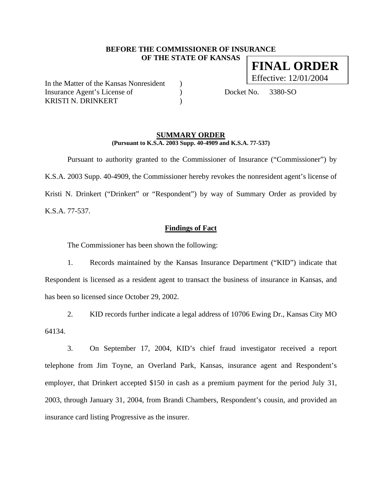## **BEFORE THE COMMISSIONER OF INSURANCE OF THE STATE OF KANSAS**

In the Matter of the Kansas Nonresident ) Insurance Agent's License of (a) Docket No. 3380-SO KRISTI N. DRINKERT (1988)

### **SUMMARY ORDER (Pursuant to K.S.A. 2003 Supp. 40-4909 and K.S.A. 77-537)**

 Pursuant to authority granted to the Commissioner of Insurance ("Commissioner") by K.S.A. 2003 Supp. 40-4909, the Commissioner hereby revokes the nonresident agent's license of Kristi N. Drinkert ("Drinkert" or "Respondent") by way of Summary Order as provided by K.S.A. 77-537.

**Findings of Fact**

The Commissioner has been shown the following:

1. Records maintained by the Kansas Insurance Department ("KID") indicate that Respondent is licensed as a resident agent to transact the business of insurance in Kansas, and has been so licensed since October 29, 2002.

2. KID records further indicate a legal address of 10706 Ewing Dr., Kansas City MO 64134.

3. On September 17, 2004, KID's chief fraud investigator received a report telephone from Jim Toyne, an Overland Park, Kansas, insurance agent and Respondent's employer, that Drinkert accepted \$150 in cash as a premium payment for the period July 31, 2003, through January 31, 2004, from Brandi Chambers, Respondent's cousin, and provided an insurance card listing Progressive as the insurer.

**FINAL ORDER** Effective: 12/01/2004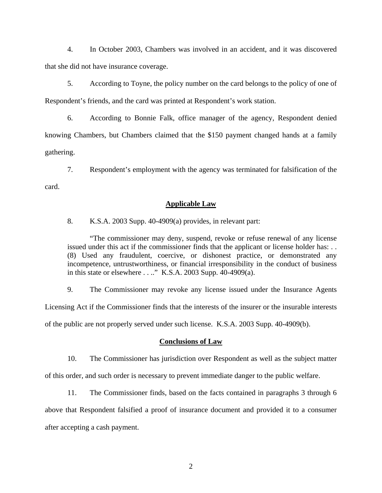4. In October 2003, Chambers was involved in an accident, and it was discovered that she did not have insurance coverage.

5. According to Toyne, the policy number on the card belongs to the policy of one of Respondent's friends, and the card was printed at Respondent's work station.

6. According to Bonnie Falk, office manager of the agency, Respondent denied knowing Chambers, but Chambers claimed that the \$150 payment changed hands at a family gathering.

7. Respondent's employment with the agency was terminated for falsification of the card.

#### **Applicable Law**

8. K.S.A. 2003 Supp. 40-4909(a) provides, in relevant part:

"The commissioner may deny, suspend, revoke or refuse renewal of any license issued under this act if the commissioner finds that the applicant or license holder has: . . (8) Used any fraudulent, coercive, or dishonest practice, or demonstrated any incompetence, untrustworthiness, or financial irresponsibility in the conduct of business in this state or elsewhere . . .." K.S.A. 2003 Supp. 40-4909(a).

9. The Commissioner may revoke any license issued under the Insurance Agents Licensing Act if the Commissioner finds that the interests of the insurer or the insurable interests of the public are not properly served under such license. K.S.A. 2003 Supp. 40-4909(b).

#### **Conclusions of Law**

10. The Commissioner has jurisdiction over Respondent as well as the subject matter of this order, and such order is necessary to prevent immediate danger to the public welfare.

11. The Commissioner finds, based on the facts contained in paragraphs 3 through 6 above that Respondent falsified a proof of insurance document and provided it to a consumer after accepting a cash payment.

2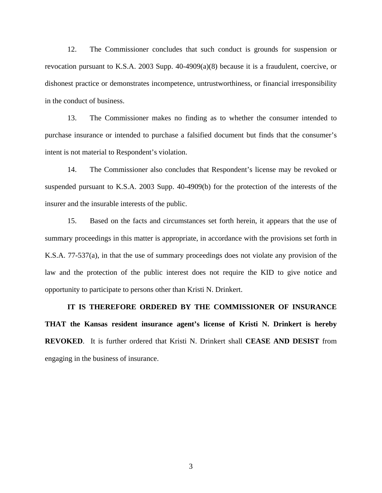12. The Commissioner concludes that such conduct is grounds for suspension or revocation pursuant to K.S.A. 2003 Supp. 40-4909(a)(8) because it is a fraudulent, coercive, or dishonest practice or demonstrates incompetence, untrustworthiness, or financial irresponsibility in the conduct of business.

13. The Commissioner makes no finding as to whether the consumer intended to purchase insurance or intended to purchase a falsified document but finds that the consumer's intent is not material to Respondent's violation.

14. The Commissioner also concludes that Respondent's license may be revoked or suspended pursuant to K.S.A. 2003 Supp. 40-4909(b) for the protection of the interests of the insurer and the insurable interests of the public.

15. Based on the facts and circumstances set forth herein, it appears that the use of summary proceedings in this matter is appropriate, in accordance with the provisions set forth in K.S.A. 77-537(a), in that the use of summary proceedings does not violate any provision of the law and the protection of the public interest does not require the KID to give notice and opportunity to participate to persons other than Kristi N. Drinkert.

**IT IS THEREFORE ORDERED BY THE COMMISSIONER OF INSURANCE THAT the Kansas resident insurance agent's license of Kristi N. Drinkert is hereby REVOKED**. It is further ordered that Kristi N. Drinkert shall **CEASE AND DESIST** from engaging in the business of insurance.

3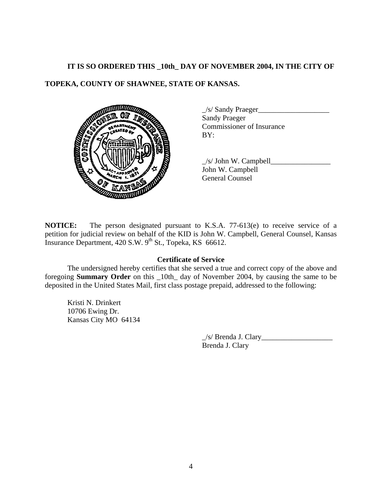# **IT IS SO ORDERED THIS \_10th\_ DAY OF NOVEMBER 2004, IN THE CITY OF**

# **TOPEKA, COUNTY OF SHAWNEE, STATE OF KANSAS.**



 \_/s/ Sandy Praeger\_\_\_\_\_\_\_\_\_\_\_\_\_\_\_\_\_\_\_ Sandy Praeger Commissioner of Insurance

 $\angle$ s/ John W. Campbell $\angle$ John W. Campbell General Counsel

**NOTICE:** The person designated pursuant to K.S.A. 77-613(e) to receive service of a petition for judicial review on behalf of the KID is John W. Campbell, General Counsel, Kansas Insurance Department,  $420$  S.W.  $9^{th}$  St., Topeka, KS 66612.

# **Certificate of Service**

 The undersigned hereby certifies that she served a true and correct copy of the above and foregoing **Summary Order** on this \_10th\_ day of November 2004, by causing the same to be deposited in the United States Mail, first class postage prepaid, addressed to the following:

Kristi N. Drinkert 10706 Ewing Dr. Kansas City MO 64134

> $\angle$ s/ Brenda J. Clary Brenda J. Clary